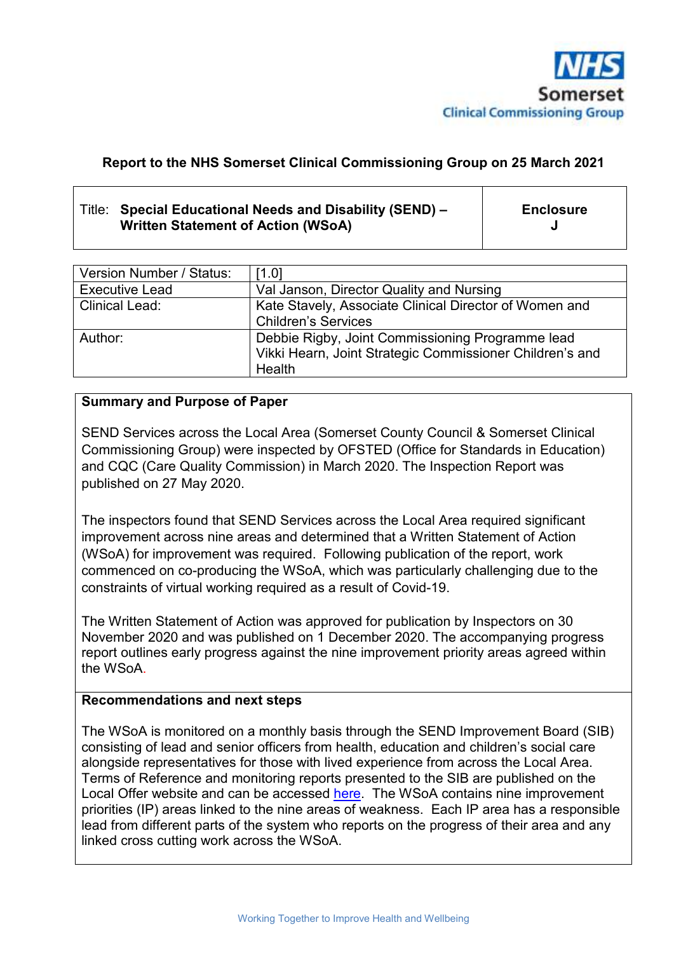

#### **Report to the NHS Somerset Clinical Commissioning Group on 25 March 2021**

#### Title: **Special Educational Needs and Disability (SEND) – Written Statement of Action (WSoA)**

**Enclosure J**

| Version Number / Status: | [1.0]                                                    |
|--------------------------|----------------------------------------------------------|
| <b>Executive Lead</b>    | Val Janson, Director Quality and Nursing                 |
| <b>Clinical Lead:</b>    | Kate Stavely, Associate Clinical Director of Women and   |
|                          | <b>Children's Services</b>                               |
| Author:                  | Debbie Rigby, Joint Commissioning Programme lead         |
|                          | Vikki Hearn, Joint Strategic Commissioner Children's and |
|                          | <b>Health</b>                                            |

#### **Summary and Purpose of Paper**

SEND Services across the Local Area (Somerset County Council & Somerset Clinical Commissioning Group) were inspected by OFSTED (Office for Standards in Education) and CQC (Care Quality Commission) in March 2020. The Inspection Report was published on 27 May 2020.

The inspectors found that SEND Services across the Local Area required significant improvement across nine areas and determined that a Written Statement of Action (WSoA) for improvement was required. Following publication of the report, work commenced on co-producing the WSoA, which was particularly challenging due to the constraints of virtual working required as a result of Covid-19.

The Written Statement of Action was approved for publication by Inspectors on 30 November 2020 and was published on 1 December 2020. The accompanying progress report outlines early progress against the nine improvement priority areas agreed within the WSoA.

#### **Recommendations and next steps**

The WSoA is monitored on a monthly basis through the SEND Improvement Board (SIB) consisting of lead and senior officers from health, education and children's social care alongside representatives for those with lived experience from across the Local Area. Terms of Reference and monitoring reports presented to the SIB are published on the Local Offer website and can be accessed here. The WSoA contains nine improvement priorities (IP) areas linked to the nine areas of weakness. Each IP area has a responsible lead from different parts of the system who reports on the progress of their area and any linked cross cutting work across the WSoA.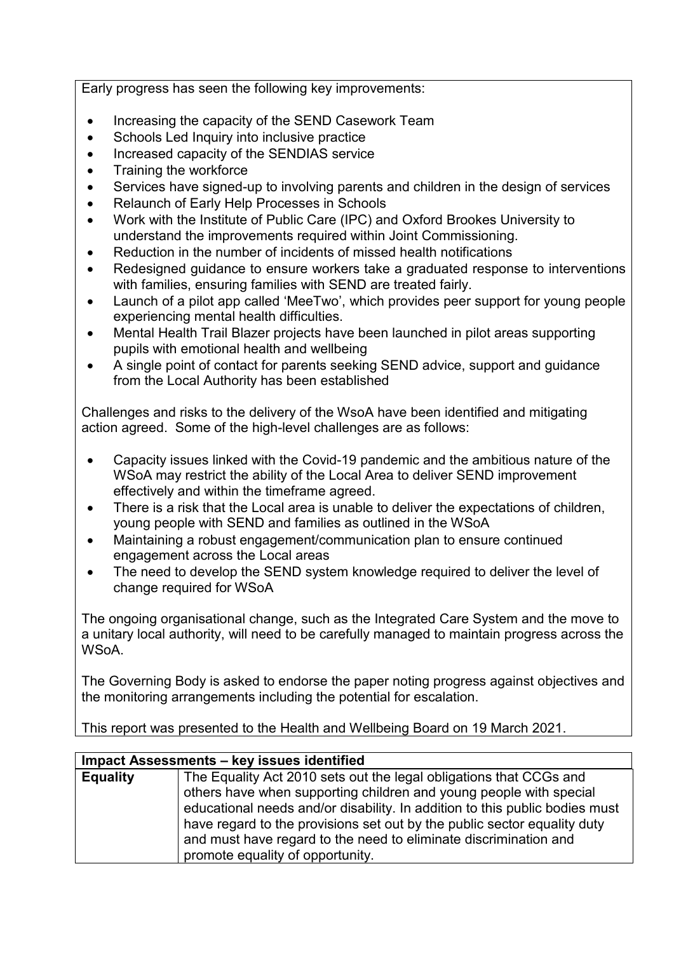Early progress has seen the following key improvements:

- Increasing the capacity of the SEND Casework Team
- Schools Led Inquiry into inclusive practice
- Increased capacity of the SENDIAS service
- Training the workforce
- Services have signed-up to involving parents and children in the design of services
- Relaunch of Early Help Processes in Schools
- Work with the Institute of Public Care (IPC) and Oxford Brookes University to understand the improvements required within Joint Commissioning.
- Reduction in the number of incidents of missed health notifications
- Redesigned guidance to ensure workers take a graduated response to interventions with families, ensuring families with SEND are treated fairly.
- Launch of a pilot app called 'MeeTwo', which provides peer support for young people experiencing mental health difficulties.
- Mental Health Trail Blazer projects have been launched in pilot areas supporting pupils with emotional health and wellbeing
- A single point of contact for parents seeking SEND advice, support and guidance from the Local Authority has been established

Challenges and risks to the delivery of the WsoA have been identified and mitigating action agreed. Some of the high-level challenges are as follows:

- Capacity issues linked with the Covid-19 pandemic and the ambitious nature of the WSoA may restrict the ability of the Local Area to deliver SEND improvement effectively and within the timeframe agreed.
- There is a risk that the Local area is unable to deliver the expectations of children, young people with SEND and families as outlined in the WSoA
- Maintaining a robust engagement/communication plan to ensure continued engagement across the Local areas
- The need to develop the SEND system knowledge required to deliver the level of change required for WSoA

The ongoing organisational change, such as the Integrated Care System and the move to a unitary local authority, will need to be carefully managed to maintain progress across the WSoA.

The Governing Body is asked to endorse the paper noting progress against objectives and the monitoring arrangements including the potential for escalation.

This report was presented to the Health and Wellbeing Board on 19 March 2021.

#### **Impact Assessments – key issues identified**

| <b>Equality</b> | The Equality Act 2010 sets out the legal obligations that CCGs and          |
|-----------------|-----------------------------------------------------------------------------|
|                 | others have when supporting children and young people with special          |
|                 | educational needs and/or disability. In addition to this public bodies must |
|                 | have regard to the provisions set out by the public sector equality duty    |
|                 | and must have regard to the need to eliminate discrimination and            |
|                 | promote equality of opportunity.                                            |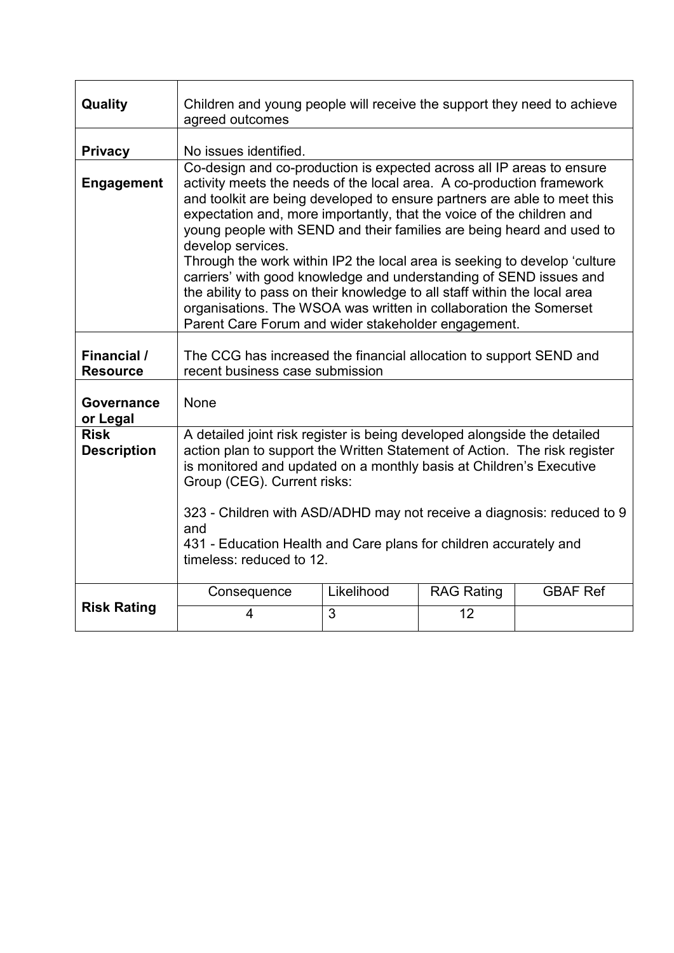| Quality                           | Children and young people will receive the support they need to achieve<br>agreed outcomes                                                                                                                                                                                                                                                                                                                                                                                                                                                                                                                                                                                                                                                                    |                 |                         |                 |  |
|-----------------------------------|---------------------------------------------------------------------------------------------------------------------------------------------------------------------------------------------------------------------------------------------------------------------------------------------------------------------------------------------------------------------------------------------------------------------------------------------------------------------------------------------------------------------------------------------------------------------------------------------------------------------------------------------------------------------------------------------------------------------------------------------------------------|-----------------|-------------------------|-----------------|--|
| <b>Privacy</b>                    | No issues identified.                                                                                                                                                                                                                                                                                                                                                                                                                                                                                                                                                                                                                                                                                                                                         |                 |                         |                 |  |
| <b>Engagement</b>                 | Co-design and co-production is expected across all IP areas to ensure<br>activity meets the needs of the local area. A co-production framework<br>and toolkit are being developed to ensure partners are able to meet this<br>expectation and, more importantly, that the voice of the children and<br>young people with SEND and their families are being heard and used to<br>develop services.<br>Through the work within IP2 the local area is seeking to develop 'culture<br>carriers' with good knowledge and understanding of SEND issues and<br>the ability to pass on their knowledge to all staff within the local area<br>organisations. The WSOA was written in collaboration the Somerset<br>Parent Care Forum and wider stakeholder engagement. |                 |                         |                 |  |
| Financial /<br><b>Resource</b>    | The CCG has increased the financial allocation to support SEND and<br>recent business case submission                                                                                                                                                                                                                                                                                                                                                                                                                                                                                                                                                                                                                                                         |                 |                         |                 |  |
| Governance<br>or Legal            | None                                                                                                                                                                                                                                                                                                                                                                                                                                                                                                                                                                                                                                                                                                                                                          |                 |                         |                 |  |
| <b>Risk</b><br><b>Description</b> | A detailed joint risk register is being developed alongside the detailed<br>action plan to support the Written Statement of Action. The risk register<br>is monitored and updated on a monthly basis at Children's Executive<br>Group (CEG). Current risks:<br>323 - Children with ASD/ADHD may not receive a diagnosis: reduced to 9<br>and<br>431 - Education Health and Care plans for children accurately and<br>timeless: reduced to 12.                                                                                                                                                                                                                                                                                                                 |                 |                         |                 |  |
| <b>Risk Rating</b>                | Consequence<br>4                                                                                                                                                                                                                                                                                                                                                                                                                                                                                                                                                                                                                                                                                                                                              | Likelihood<br>3 | <b>RAG Rating</b><br>12 | <b>GBAF Ref</b> |  |
|                                   |                                                                                                                                                                                                                                                                                                                                                                                                                                                                                                                                                                                                                                                                                                                                                               |                 |                         |                 |  |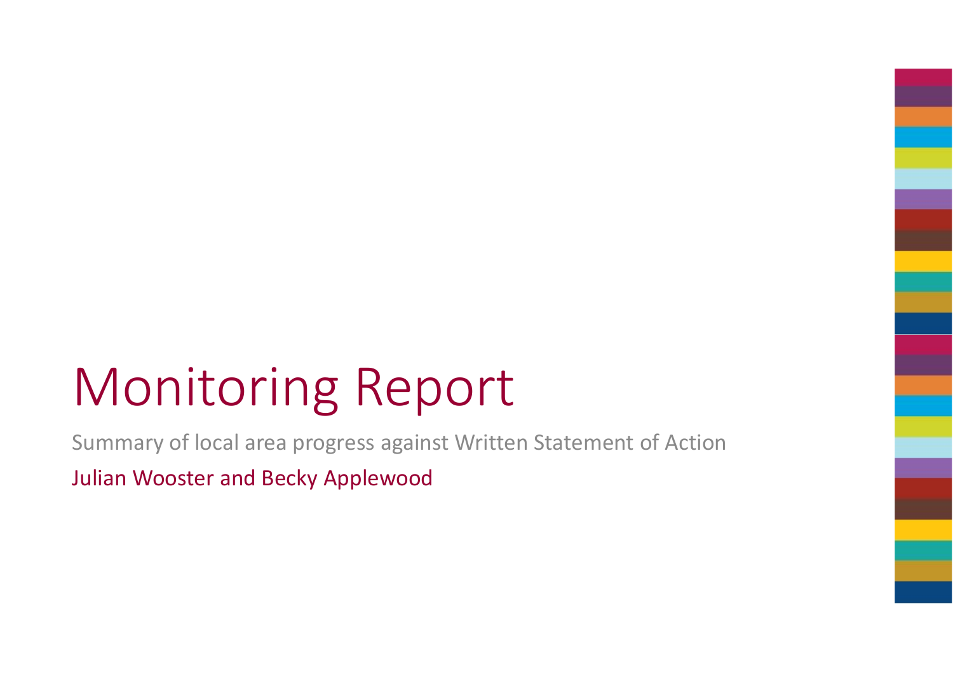# Monitoring Report

Summary of local area progress against Written Statement of ActionJulian Wooster and Becky Applewood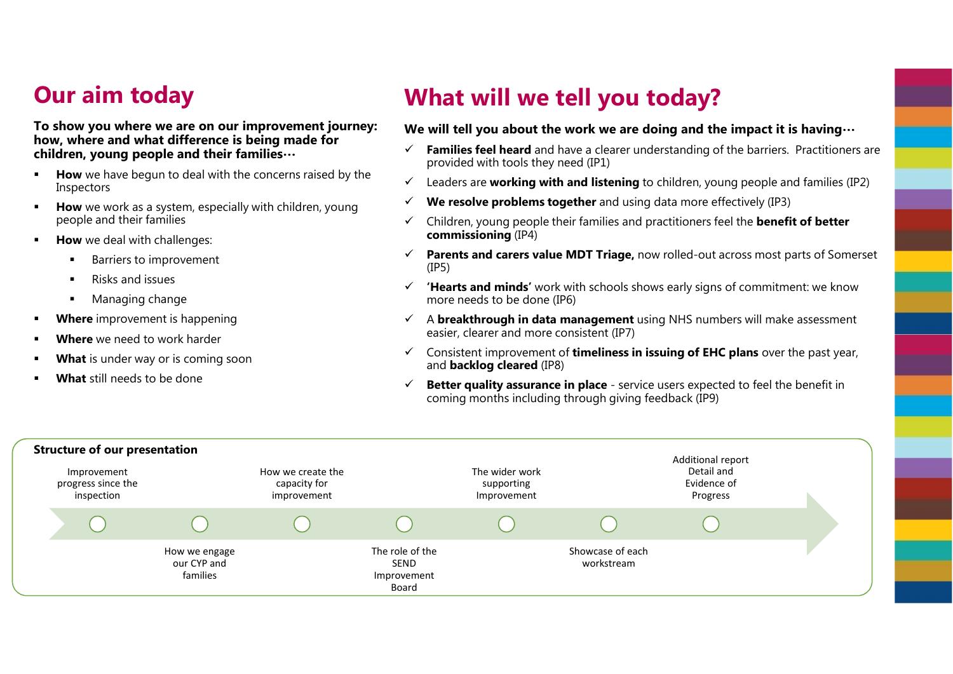## **Our aim today**

**To show you where we are on our improvement journey:how, where and what difference is being made for children, young people and their families…**

- **How** we have begun to deal with the concerns raised by the lospoctors n Inspectors
- **How** we work as a system, especially with children, young<br>needle and their families people and their families
- n **How** we deal with challenges:
	- х Barriers to improvement
	- $\blacksquare$ Risks and issues
	- × Managing change
- **Where** improvement is happening
- **Where** we need to work harder
- n **What** is under way or is coming soon
- **What** still needs to be done

## **What will we tell you today?**

#### **We will tell you about the work we are doing and the impact it is having…**

- **Families feel heard** and have a clearer understanding of the barriers. Practitioners are  $\checkmark$ provided with tools they need (IP1)
- $\checkmark$ Leaders are **working with and listening** to children, young people and families (IP2)
- ✓ **We resolve problems together** and using data more effectively (IP3)
- $\checkmark$  Children, young people their families and practitioners feel the **benefit of better commissioning** (IP4)
- $\checkmark$  **Parents and carers value MDT Triage,** now rolled-out across most parts of Somerset (IP5)
- $\checkmark$  **'Hearts and minds'** work with schools shows early signs of commitment: we know more needs to be done (IP6)
- <sup>A</sup>**breakthrough in data management** using NHS numbers will make assessment easier, clearer and more consistent (IP7)
- Consistent improvement of **timeliness in issuing of EHC plans** over the past year, and **backlog cleared** (IP8)
- $\checkmark$ **Better quality assurance in place** - service users expected to feel the benefit in coming months including through giving feedback (IP9)

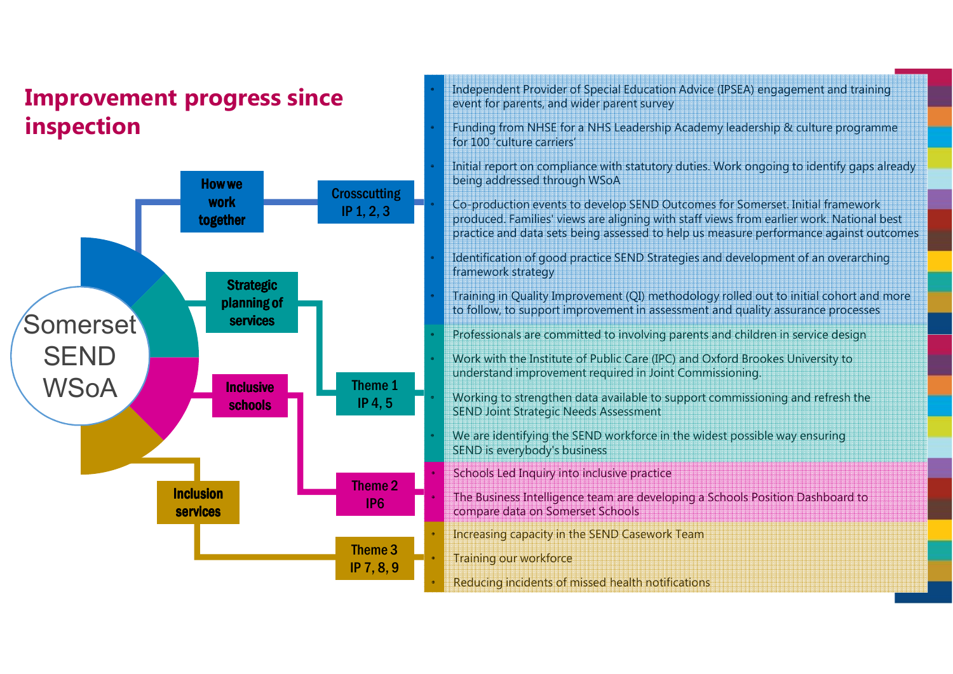## **Improvement progress since inspection**



- Independent Provider of Special Education Advice (IPSEA) engagement and training event for parents, and wider parent survey
- Funding from NHSE for a NHS Leadership Academy leadership & culture programme for 100 'culture carriers'
- Initial report on compliance with statutory duties. Work ongoing to identify gaps already being addressed through WSoA
- Co-production events to develop SEND Outcomes for Somerset. Initial framework produced. Families' views are aligning with staff views from earlier work. National best practice and data sets being assessed to help us measure performance against outcomes
- Identification of good practice SEND Strategies and development of an overarching framework strategy
- Training in Quality Improvement (QI) methodology rolled out to initial cohort and more to follow, to support improvement in assessment and quality assurance processes
- Professionals are committed to involving parents and children in service design
- Work with the Institute of Public Care (IPC) and Oxford Brookes University to understand improvement required in Joint Commissioning.
- Working to strengthen data available to support commissioning and refresh the SEND Joint Strategic Needs Assessment
- We are identifying the SEND workforce in the widest possible way ensuring SEND is everybody's business
- Schools Led Inquiry into inclusive practice
- The Business Intelligence team are developing a Schools Position Dashboard to compare data on Somerset Schools
- Increasing capacity in the SEND Casework Team
- Training our workforce
- Reducing incidents of missed health notifications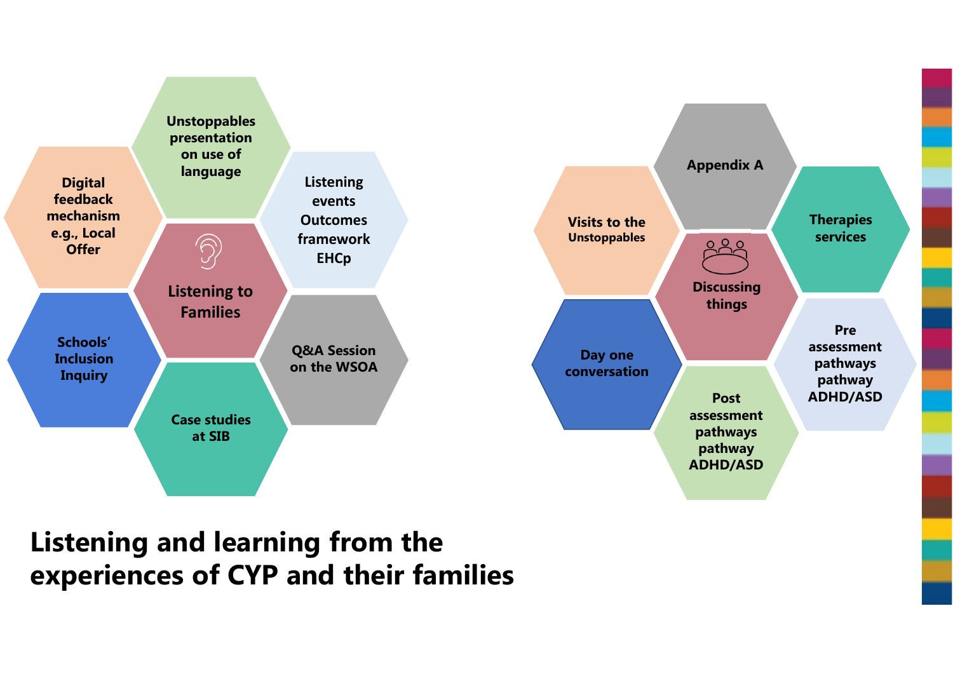

## **Listening and learning from the experiences of CYP and their families**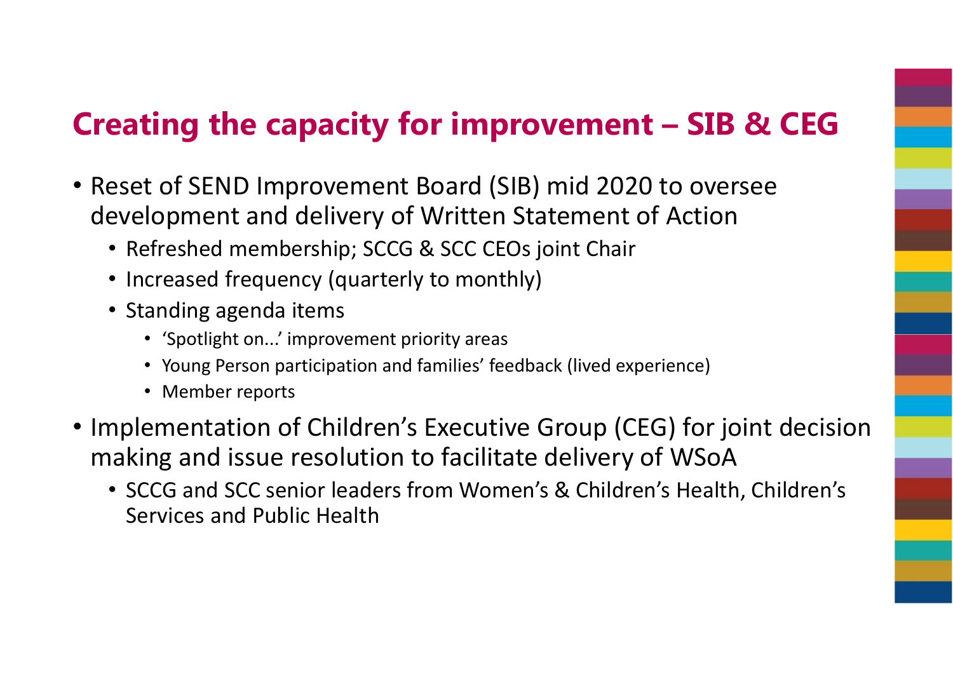## **Creating the capacity for improvement – SIB & CEG**

- Reset of SEND Improvement Board (SIB) mid 2020 to oversee development and delivery of Written Statement of Action
	- Refreshed membership; SCCG & SCC CEOs joint Chair
	- Increased frequency (quarterly to monthly)
	- Standing agenda items
		- 'Spotlight on...' improvement priority areas
		- Young Person participation and families' feedback (lived experience)
		- Member reports
- Implementation of Children's Executive Group (CEG) for joint decision making and issue resolution to facilitate delivery of WSoA
	- SCCG and SCC senior leaders from Women's & Children's Health, Children's Services and Public Health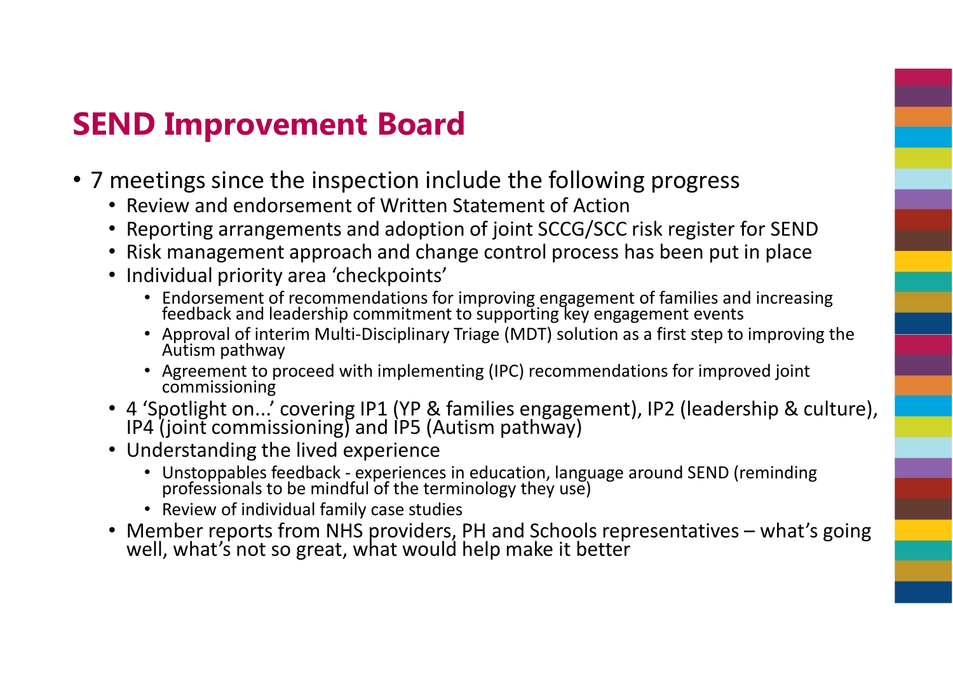## **SEND Improvement Board**

- 7 meetings since the inspection include the following progress
	- Review and endorsement of Written Statement of Action
	- Reporting arrangements and adoption of joint SCCG/SCC risk register for SEND
	- Risk management approach and change control process has been put in place
	- Individual priority area 'checkpoints'
		- Endorsement of recommendations for improving engagement of families and increasing feedback and leadership commitment to supporting key engagement events
		- Approval of interim Multi-Disciplinary Triage (MDT) solution as a first step to improving the Autism pathway
		- Agreement to proceed with implementing (IPC) recommendations for improved joint commissioning
	- 4 'Spotlight on...' covering IP1 (YP & families engagement), IP2 (leadership & culture), IP4 (joint commissioning) and IP5 (Autism pathway)
	- Understanding the lived experience
		- Unstoppables feedback experiences in education, language around SEND (reminding professionals to be mindful of the terminology they use)
		- Review of individual family case studies
	- Member reports from NHS providers, PH and Schools representatives what's going well, what's not so great, what would help make it better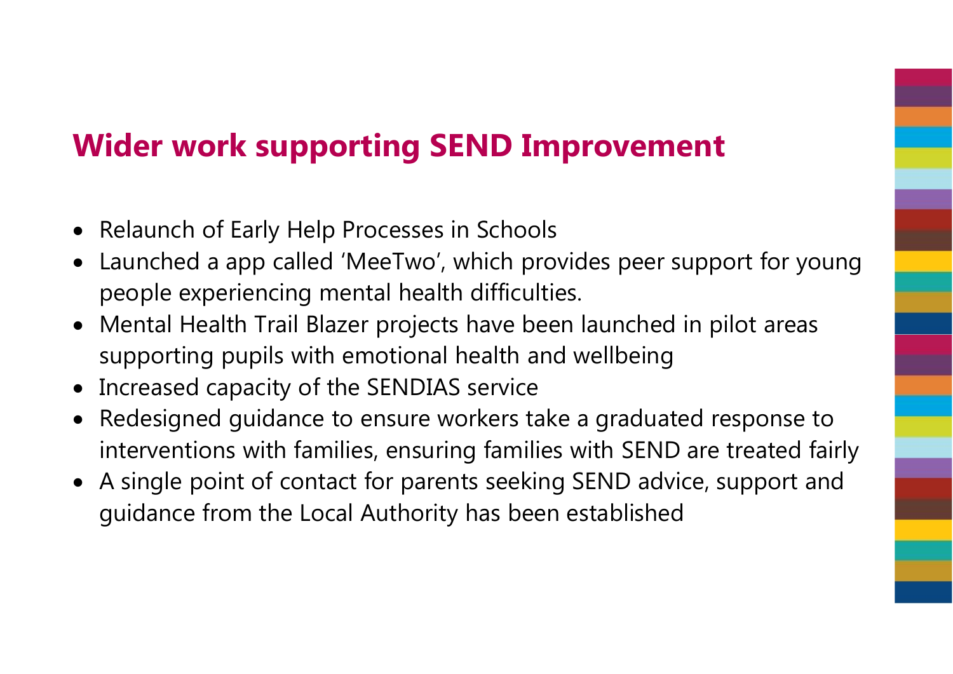## **Wider work supporting SEND Improvement**

- Relaunch of Early Help Processes in Schools
- $\bullet$  Launched a app called 'MeeTwo', which provides peer support for young people experiencing mental health difficulties.
- Mental Health Trail Blazer projects have been launched in pilot areas supporting pupils with emotional health and wellbeing
- Increased capacity of the SENDIAS service
- Redesigned guidance to ensure workers take a graduated response to interventions with families, ensuring families with SEND are treated fairly
- A single point of contact for parents seeking SEND advice, support and guidance from the Local Authority has been established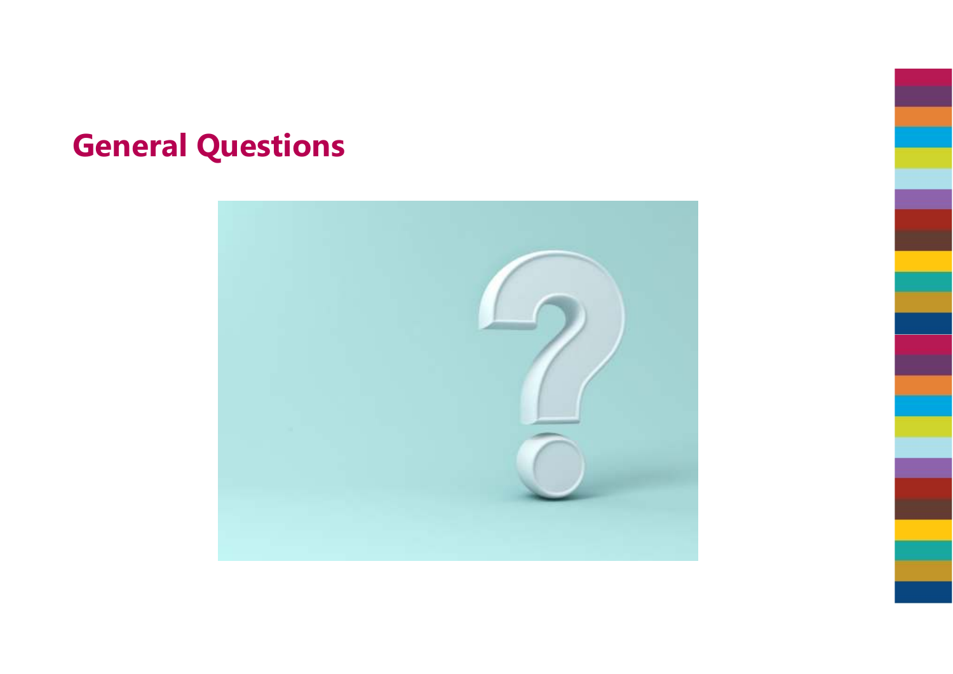## **General Questions**

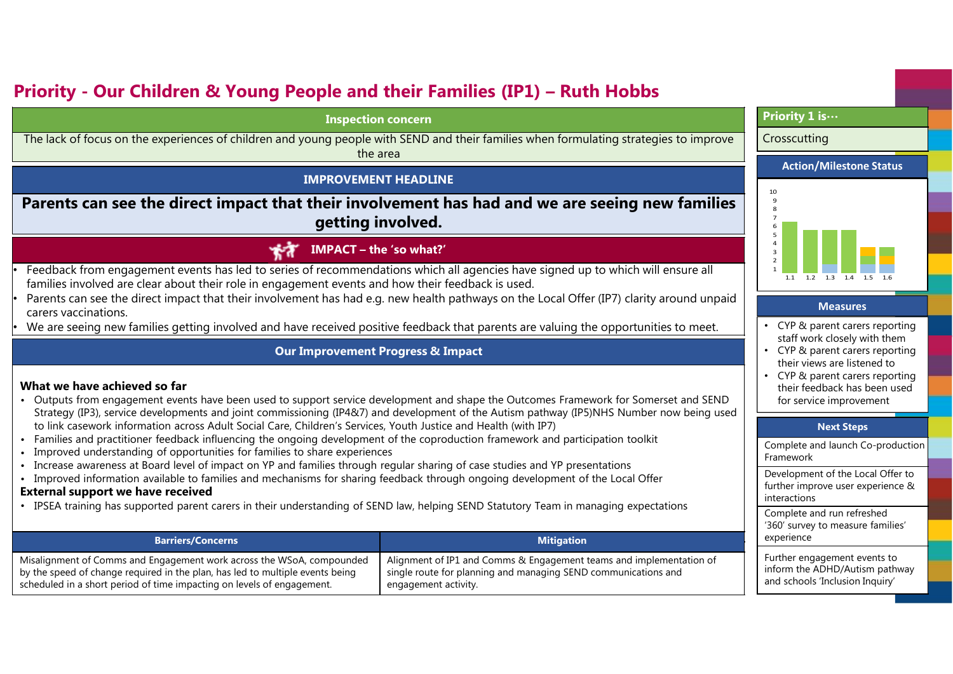### **Priority - Our Children & Young People and their Families (IP1) – Ruth Hobbs**

#### **Inspection concern**

 The lack of focus on the experiences of children and young people with SEND and their families when formulating strategies to improve the area

#### **IMPROVEMENT HEADLINE**

#### **Parents can see the direct impact that their involvement has had and we are seeing new families getting involved.**

#### **IMPACT – the 'so what?'** モオ

 Feedback from engagement events has led to series of recommendations which all agencies have signed up to which will ensure all families involved are clear about their role in engagement events and how their feedback is used.

- Parents can see the direct impact that their involvement has had e.g. new health pathways on the Local Offer (IP7) clarity around unpaid carers vaccinations.
- We are seeing new families getting involved and have received positive feedback that parents are valuing the opportunities to meet.

#### **Our Improvement Progress & Impact**

#### **What we have achieved so far**

•

•

•

- Outputs from engagement events have been used to support service development and shape the Outcomes Framework for Somerset and SEND Strategy (IP3), service developments and joint commissioning (IP4&7) and development of the Autism pathway (IP5)NHS Number now being used to link casework information across Adult Social Care, Children's Services, Youth Justice and Health (with IP7)
- Families and practitioner feedback influencing the ongoing development of the coproduction framework and participation toolkit
- •Improved understanding of opportunities for families to share experiences
- Increase awareness at Board level of impact on YP and families through regular sharing of case studies and YP presentations
- Improved information available to families and mechanisms for sharing feedback through ongoing development of the Local Offer

#### **External support we have received**

• IPSEA training has supported parent carers in their understanding of SEND law, helping SEND Statutory Team in managing expectations

| <b>Barriers/Concerns</b>                                                      | <b>Mitigation</b>                                                   |
|-------------------------------------------------------------------------------|---------------------------------------------------------------------|
| Misalignment of Comms and Engagement work across the WSoA, compounded         | Alignment of IP1 and Comms & Engagement teams and implementation of |
| by the speed of change required in the plan, has led to multiple events being | single route for planning and managing SEND communications and      |
| scheduled in a short period of time impacting on levels of engagement.        | engagement activity.                                                |

#### **Priority 1 is…**

#### **Crosscutting**





#### **Measures**

- CYP & parent carers reporting staff work closely with them
- CYP & parent carers reporting their views are listened to
- CYP & parent carers reporting their feedback has been used for service improvement

#### **Next Steps**

| Complete and launch Co-production |
|-----------------------------------|
| Framework                         |

Development of the Local Offer to further improve user experience & interactions

Complete and run refreshed '360' survey to measure families' experience

Further engagement events to inform the ADHD/Autism pathway and schools 'Inclusion Inquiry'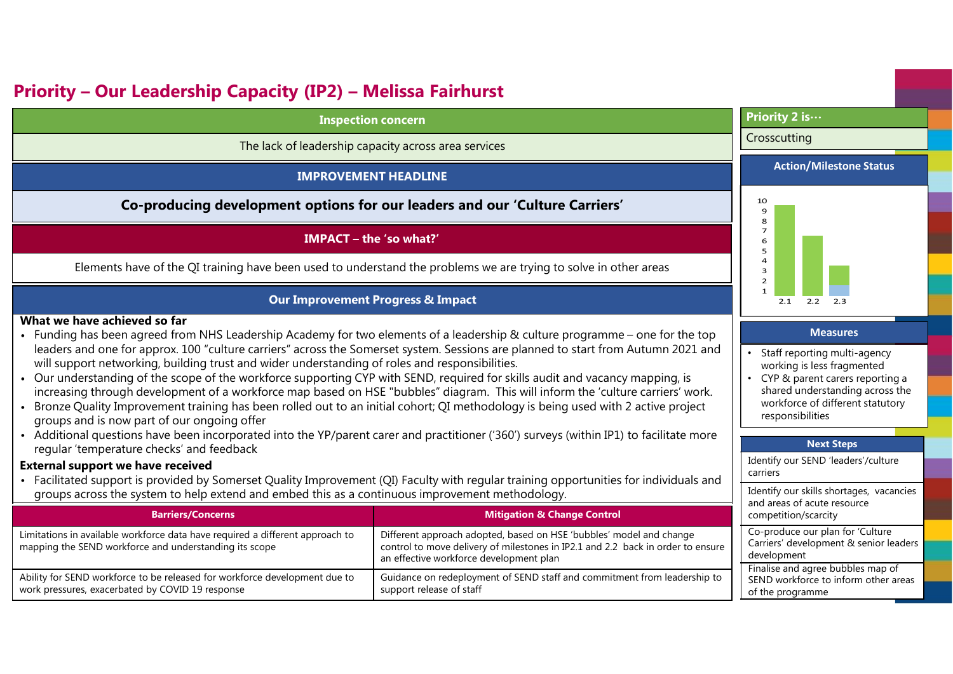## **Priority – Our Leadership Capacity (IP2) – Melissa Fairhurst**

| <b>Inspection concern</b> |
|---------------------------|
|                           |

The lack of leadership capacity across area services

#### **IMPROVEMENT HEADLINE**

**Co-producing development options for our leaders and our 'Culture Carriers'**

#### **IMPACT – the 'so what?'**

Elements have of the QI training have been used to understand the problems we are trying to solve in other areas

#### **Our Improvement Progress & Impact**

#### **What we have achieved so far**

- Funding has been agreed from NHS Leadership Academy for two elements of a leadership & culture programme one for the top leaders and one for approx. 100 "culture carriers" across the Somerset system. Sessions are planned to start from Autumn 2021 and will support networking, building trust and wider understanding of roles and responsibilities.
- Our understanding of the scope of the workforce supporting CYP with SEND, required for skills audit and vacancy mapping, is increasing through development of a workforce map based on HSE "bubbles" diagram. This will inform the 'culture carriers' work.
- Bronze Quality Improvement training has been rolled out to an initial cohort; QI methodology is being used with 2 active project groups and is now part of our ongoing offer
- Additional questions have been incorporated into the YP/parent carer and practitioner ('360') surveys (within IP1) to facilitate more regular 'temperature checks' and feedback

#### **External support we have received**

 • Facilitated support is provided by Somerset Quality Improvement (QI) Faculty with regular training opportunities for individuals and groups across the system to help extend and embed this as a continuous improvement methodology.

| <b>Barriers/Concerns</b>                                                                                                                | <b>Mitigation &amp; Change Control</b>                                                                                                                                                            | and arcas or acate resource<br>competition/scarcity                                           |  |  |
|-----------------------------------------------------------------------------------------------------------------------------------------|---------------------------------------------------------------------------------------------------------------------------------------------------------------------------------------------------|-----------------------------------------------------------------------------------------------|--|--|
| Limitations in available workforce data have required a different approach to<br>mapping the SEND workforce and understanding its scope | Different approach adopted, based on HSE 'bubbles' model and change<br>control to move delivery of milestones in IP2.1 and 2.2 back in order to ensure<br>an effective workforce development plan | Co-produce our plan for 'Culture<br>Carriers' development & senior leaders<br>development     |  |  |
| Ability for SEND workforce to be released for workforce development due to<br>work pressures, exacerbated by COVID 19 response          | Guidance on redeployment of SEND staff and commitment from leadership to<br>support release of staff                                                                                              | Finalise and agree bubbles map of<br>SEND workforce to inform other areas<br>of the programme |  |  |

#### **Priority 2 is…**

#### Crosscutting

#### **Action/Milestone Status**



#### **Measures**

- Staff reporting multi-agency working is less fragmented
- CYP & parent carers reporting a shared understanding across the workforce of different statutory responsibilities

#### **Next Steps**Identify our SEND 'leaders'/culture

Identify our skills shortages, vacancies

and areas of acute resource

carriers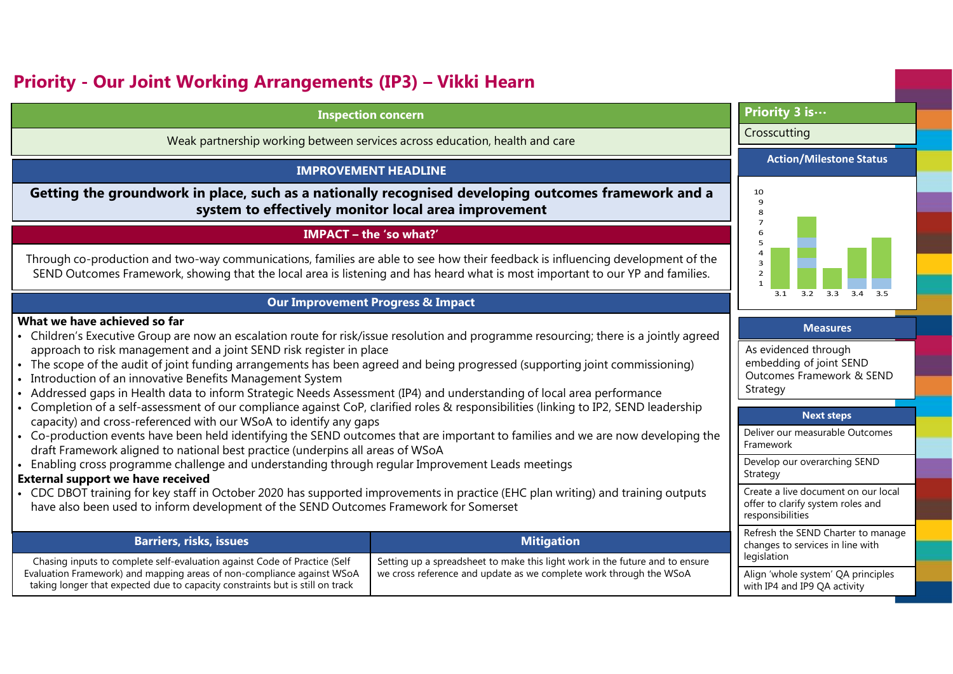### **Priority - Our Joint Working Arrangements (IP3) – Vikki Hearn**

#### **Inspection concern**

Weak partnership working between services across education, health and care

#### **IMPROVEMENT HEADLINE**

**Getting the groundwork in place, such as a nationally recognised developing outcomes framework and a system to effectively monitor local area improvement**

#### **IMPACT – the 'so what?'**

Through co-production and two-way communications, families are able to see how their feedback is influencing development of the SEND Outcomes Framework, showing that the local area is listening and has heard what is most important to our YP and families.

#### **Our Improvement Progress & Impact**

#### **What we have achieved so far**

- Children's Executive Group are now an escalation route for risk/issue resolution and programme resourcing; there is a jointly agreed approach to risk management and a joint SEND risk register in place
- The scope of the audit of joint funding arrangements has been agreed and being progressed (supporting joint commissioning)
- Introduction of an innovative Benefits Management System
- Addressed gaps in Health data to inform Strategic Needs Assessment (IP4) and understanding of local area performance
- Completion of a self-assessment of our compliance against CoP, clarified roles & responsibilities (linking to IP2, SEND leadership capacity) and cross-referenced with our WSoA to identify any gaps
- Co-production events have been held identifying the SEND outcomes that are important to families and we are now developing the draft Framework aligned to national best practice (underpins all areas of WSoA
- Enabling cross programme challenge and understanding through regular Improvement Leads meetings

#### **External support we have received**

 • CDC DBOT training for key staff in October 2020 has supported improvements in practice (EHC plan writing) and training outputs have also been used to inform development of the SEND Outcomes Framework for Somerset

| <b>Barriers, risks, issues</b>                                                                                                                                                                                                       | <b>Mitigation</b>                                                                                                                                    | Refresh the SEND Charter to mana<br>changes to services in line with             |  |
|--------------------------------------------------------------------------------------------------------------------------------------------------------------------------------------------------------------------------------------|------------------------------------------------------------------------------------------------------------------------------------------------------|----------------------------------------------------------------------------------|--|
| Chasing inputs to complete self-evaluation against Code of Practice (Self<br>Evaluation Framework) and mapping areas of non-compliance against WSoA<br>taking longer that expected due to capacity constraints but is still on track | Setting up a spreadsheet to make this light work in the future and to ensure<br>, we cross reference and update as we complete work through the WSoA | legislation<br>Align 'whole system' QA principle<br>with IP4 and IP9 QA activity |  |

#### **Priority 3 is…**

#### Crosscutting

#### **Action/Milestone Status**



#### **Measures**

As evidenced through embedding of joint SEND Outcomes Framework & SEND **Strategy** 

#### **Next steps**

| Deliver our measurable Outcomes<br>Framework                                                 |
|----------------------------------------------------------------------------------------------|
| Develop our overarching SEND<br>Strategy                                                     |
| Create a live document on our local<br>offer to clarify system roles and<br>responsibilities |
| Refresh the SEND Charter to manage<br>changes to services in line with                       |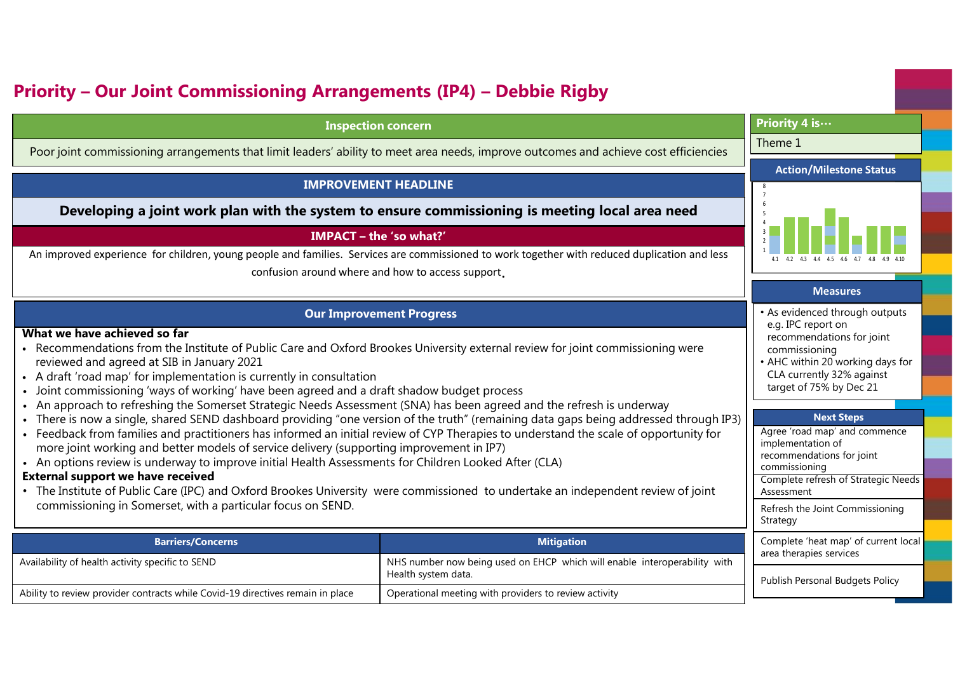## **Priority – Our Joint Commissioning Arrangements (IP4) – Debbie Rigby**

#### **Inspection concern**

Poor joint commissioning arrangements that limit leaders' ability to meet area needs, improve outcomes and achieve cost efficiencies

#### **IMPROVEMENT HEADLINE**

**Developing a joint work plan with the system to ensure commissioning is meeting local area need**

#### **IMPACT – the 'so what?'**

An improved experience for children, young people and families. Services are commissioned to work together with reduced duplication and less

confusion around where and how to access support.

#### **Our Improvement Progress**

#### **What we have achieved so far**

- Recommendations from the Institute of Public Care and Oxford Brookes University external review for joint commissioning were reviewed and agreed at SIB in January 2021
- A draft 'road map' for implementation is currently in consultation
- Joint commissioning 'ways of working' have been agreed and a draft shadow budget process
- An approach to refreshing the Somerset Strategic Needs Assessment (SNA) has been agreed and the refresh is underway
- There is now a single, shared SEND dashboard providing "one version of the truth" (remaining data gaps being addressed through IP3)
- Feedback from families and practitioners has informed an initial review of CYP Therapies to understand the scale of opportunity for more joint working and better models of service delivery (supporting improvement in IP7)
- An options review is underway to improve initial Health Assessments for Children Looked After (CLA)

#### **External support we have received**

 • The Institute of Public Care (IPC) and Oxford Brookes University were commissioned to undertake an independent review of joint commissioning in Somerset, with a particular focus on SEND.

| <b>Barriers/Concerns</b>                                                       | <b>Mitigation</b>                                                                                | Complete <sup>'</sup>      |
|--------------------------------------------------------------------------------|--------------------------------------------------------------------------------------------------|----------------------------|
| Availability of health activity specific to SEND                               | NHS number now being used on EHCP which will enable interoperability with<br>Health system data. | area therar<br>Publish Per |
| Ability to review provider contracts while Covid-19 directives remain in place | Operational meeting with providers to review activity                                            |                            |



**Priority 4 is…**

Theme 1

#### **Next Steps**

| Agree 'road map' and commence<br>implementation of              |
|-----------------------------------------------------------------|
| recommendations for joint                                       |
| commissioning                                                   |
| Complete refresh of Strategic Needs<br>Assessment               |
| Refresh the Joint Commissioning<br>Strategy                     |
| Complete 'heat map' of current local<br>area therapies services |
| Publish Personal Budgets Policy                                 |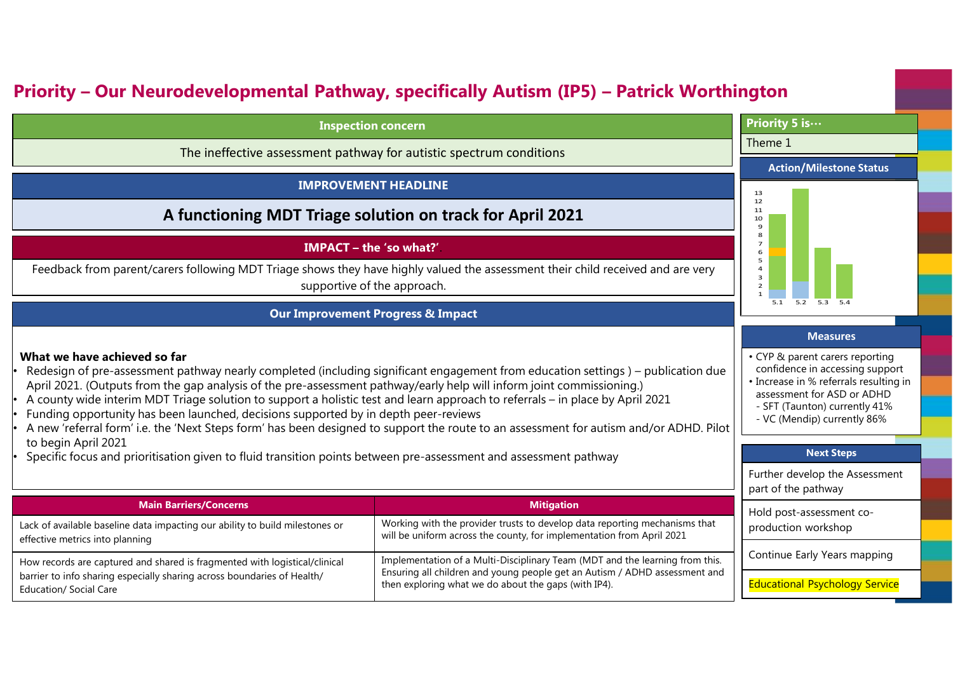## **Priority – Our Neurodevelopmental Pathway, specifically Autism (IP5) – Patrick Worthington**

| <b>Inspection concern</b>                                                                                                                                                                                                                                                                                                                                                                                                                                                                                                                                                                                                                                                                                                                                                                              | Priority 5 is                                                                                                                                                                                                                                                                                               |                                       |  |  |
|--------------------------------------------------------------------------------------------------------------------------------------------------------------------------------------------------------------------------------------------------------------------------------------------------------------------------------------------------------------------------------------------------------------------------------------------------------------------------------------------------------------------------------------------------------------------------------------------------------------------------------------------------------------------------------------------------------------------------------------------------------------------------------------------------------|-------------------------------------------------------------------------------------------------------------------------------------------------------------------------------------------------------------------------------------------------------------------------------------------------------------|---------------------------------------|--|--|
| The ineffective assessment pathway for autistic spectrum conditions                                                                                                                                                                                                                                                                                                                                                                                                                                                                                                                                                                                                                                                                                                                                    | Theme 1                                                                                                                                                                                                                                                                                                     |                                       |  |  |
|                                                                                                                                                                                                                                                                                                                                                                                                                                                                                                                                                                                                                                                                                                                                                                                                        |                                                                                                                                                                                                                                                                                                             | <b>Action/Milestone Status</b>        |  |  |
| <b>IMPROVEMENT HEADLINE</b>                                                                                                                                                                                                                                                                                                                                                                                                                                                                                                                                                                                                                                                                                                                                                                            |                                                                                                                                                                                                                                                                                                             | 13                                    |  |  |
| A functioning MDT Triage solution on track for April 2021                                                                                                                                                                                                                                                                                                                                                                                                                                                                                                                                                                                                                                                                                                                                              | 12<br>11<br>10<br>$\overline{9}$                                                                                                                                                                                                                                                                            |                                       |  |  |
| IMPACT - the 'so what?'<br>Feedback from parent/carers following MDT Triage shows they have highly valued the assessment their child received and are very<br>supportive of the approach.                                                                                                                                                                                                                                                                                                                                                                                                                                                                                                                                                                                                              | 8<br>$\overline{7}$<br>6<br>5<br>$\overline{a}$<br>$\overline{\mathbf{3}}$<br>$\overline{2}$                                                                                                                                                                                                                |                                       |  |  |
| <b>Our Improvement Progress &amp; Impact</b>                                                                                                                                                                                                                                                                                                                                                                                                                                                                                                                                                                                                                                                                                                                                                           | 5.2<br>5.3 5.4                                                                                                                                                                                                                                                                                              |                                       |  |  |
| What we have achieved so far<br>Redesign of pre-assessment pathway nearly completed (including significant engagement from education settings) – publication due<br>April 2021. (Outputs from the gap analysis of the pre-assessment pathway/early help will inform joint commissioning.)<br>A county wide interim MDT Triage solution to support a holistic test and learn approach to referrals – in place by April 2021<br>Funding opportunity has been launched, decisions supported by in depth peer-reviews<br>A new 'referral form' i.e. the 'Next Steps form' has been designed to support the route to an assessment for autism and/or ADHD. Pilot<br>to begin April 2021<br>Specific focus and prioritisation given to fluid transition points between pre-assessment and assessment pathway | <b>Measures</b><br>• CYP & parent carers reporting<br>confidence in accessing support<br>• Increase in % referrals resulting in<br>assessment for ASD or ADHD<br>- SFT (Taunton) currently 41%<br>- VC (Mendip) currently 86%<br><b>Next Steps</b><br>Further develop the Assessment<br>part of the pathway |                                       |  |  |
| <b>Main Barriers/Concerns</b><br><b>Mitigation</b>                                                                                                                                                                                                                                                                                                                                                                                                                                                                                                                                                                                                                                                                                                                                                     |                                                                                                                                                                                                                                                                                                             | Hold post-assessment co-              |  |  |
| Lack of available baseline data impacting our ability to build milestones or<br>effective metrics into planning                                                                                                                                                                                                                                                                                                                                                                                                                                                                                                                                                                                                                                                                                        | Working with the provider trusts to develop data reporting mechanisms that<br>will be uniform across the county, for implementation from April 2021                                                                                                                                                         | production workshop                   |  |  |
| Implementation of a Multi-Disciplinary Team (MDT and the learning from this.<br>How records are captured and shared is fragmented with logistical/clinical<br>Ensuring all children and young people get an Autism / ADHD assessment and<br>barrier to info sharing especially sharing across boundaries of Health/                                                                                                                                                                                                                                                                                                                                                                                                                                                                                    |                                                                                                                                                                                                                                                                                                             | Continue Early Years mapping          |  |  |
| <b>Education/ Social Care</b>                                                                                                                                                                                                                                                                                                                                                                                                                                                                                                                                                                                                                                                                                                                                                                          | then exploring what we do about the gaps (with IP4).                                                                                                                                                                                                                                                        | <b>Educational Psychology Service</b> |  |  |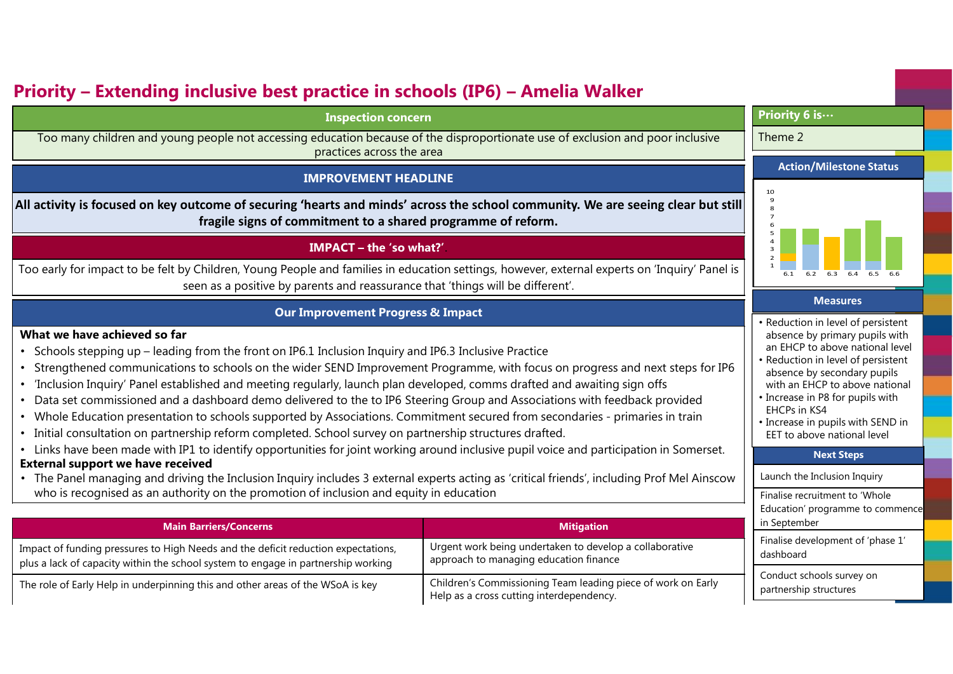## **Priority – Extending inclusive best practice in schools (IP6) – Amelia Walker**

#### **Inspection concern**

Too many children and young people not accessing education because of the disproportionate use of exclusion and poor inclusive practices across the area

#### **IMPROVEMENT HEADLINE**

**All activity is focused on key outcome of securing 'hearts and minds' across the school community. We are seeing clear but stillfragile signs of commitment to a shared programme of reform.**

#### **IMPACT – the 'so what?'**.

Too early for impact to be felt by Children, Young People and families in education settings, however, external experts on 'Inquiry' Panel is seen as a positive by parents and reassurance that 'things will be different'.

#### **Our Improvement Progress & Impact**

#### **What we have achieved so far**

- •Schools stepping up – leading from the front on IP6.1 Inclusion Inquiry and IP6.3 Inclusive Practice
- •Strengthened communications to schools on the wider SEND Improvement Programme, with focus on progress and next steps for IP6
- •'Inclusion Inquiry' Panel established and meeting regularly, launch plan developed, comms drafted and awaiting sign offs
- Data set commissioned and a dashboard demo delivered to the to IP6 Steering Group and Associations with feedback provided
- Whole Education presentation to schools supported by Associations. Commitment secured from secondaries primaries in train
- Initial consultation on partnership reform completed. School survey on partnership structures drafted.
- Links have been made with IP1 to identify opportunities for joint working around inclusive pupil voice and participation in Somerset.

#### **External support we have received**

 • The Panel managing and driving the Inclusion Inquiry includes 3 external experts acting as 'critical friends', including Prof Mel Ainscow who is recognised as an authority on the promotion of inclusion and equity in education

| <b>Main Barriers/Concerns</b>                                                                                                                                          | <b>Mitigation</b>                                                                                        |
|------------------------------------------------------------------------------------------------------------------------------------------------------------------------|----------------------------------------------------------------------------------------------------------|
| Impact of funding pressures to High Needs and the deficit reduction expectations,<br>plus a lack of capacity within the school system to engage in partnership working | Urgent work being undertaken to develop a collaborative<br>approach to managing education finance        |
| The role of Early Help in underpinning this and other areas of the WSoA is key                                                                                         | Children's Commissioning Team leading piece of work on Early<br>Help as a cross cutting interdependency. |

#### **Priority 6 is…**

#### Theme 2

#### **Action/Milestone Status**



#### **Measures**

- Reduction in level of persistent absence by primary pupils with an EHCP to above national level
- Reduction in level of persistent absence by secondary pupils with an EHCP to above national
- Increase in P8 for pupils with EHCPs in KS4
- Increase in pupils with SEND in EET to above national level

#### **Next Steps**

Launch the Inclusion Inquiry

Finalise recruitment to 'Whole Education' programme to commence in September

Finalise development of 'phase 1' dashboard

Conduct schools survey on partnership structures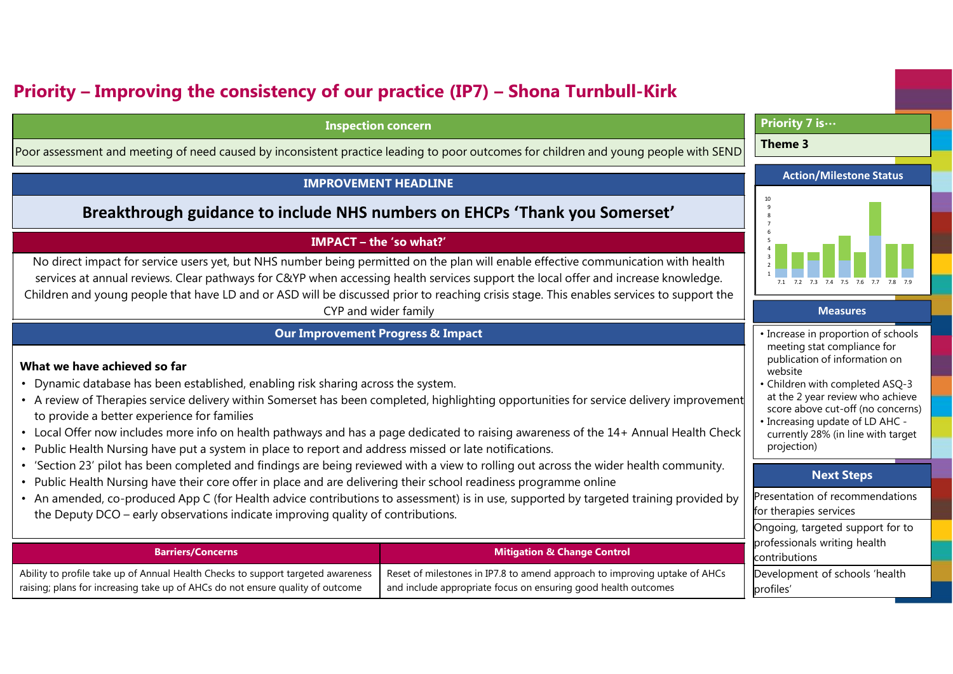## **Priority – Improving the consistency of our practice (IP7) – Shona Turnbull-Kirk**

#### **Inspection concern**

Poor assessment and meeting of need caused by inconsistent practice leading to poor outcomes for children and young people with SEND

#### **IMPROVEMENT HEADLINE**

#### **Breakthrough guidance to include NHS numbers on EHCPs 'Thank you Somerset'**

#### **IMPACT – the 'so what?'**

No direct impact for service users yet, but NHS number being permitted on the plan will enable effective communication with health services at annual reviews. Clear pathways for C&YP when accessing health services support the local offer and increase knowledge. Children and young people that have LD and or ASD will be discussed prior to reaching crisis stage. This enables services to support the CYP and wider family**Measures**

#### **Our Improvement Progress & Impact**

#### **What we have achieved so far**

- Dynamic database has been established, enabling risk sharing across the system.
- A review of Therapies service delivery within Somerset has been completed, highlighting opportunities for service delivery improvement to provide a better experience for families
- Local Offer now includes more info on health pathways and has a page dedicated to raising awareness of the 14+ Annual Health Check
- Public Health Nursing have put a system in place to report and address missed or late notifications.
- 'Section 23' pilot has been completed and findings are being reviewed with a view to rolling out across the wider health community.
- Public Health Nursing have their core offer in place and are delivering their school readiness programme online
- An amended, co-produced App C (for Health advice contributions to assessment) is in use, supported by targeted training provided by the Deputy DCO – early observations indicate improving quality of contributions.

| <b>Barriers/Concerns</b>                                                         | <b>Mitigation &amp; Change Control</b>                                     | professionals writing health<br>contributions |
|----------------------------------------------------------------------------------|----------------------------------------------------------------------------|-----------------------------------------------|
| Ability to profile take up of Annual Health Checks to support targeted awareness | Reset of milestones in IP7.8 to amend approach to improving uptake of AHCs | Development of schools 'health                |
| raising; plans for increasing take up of AHCs do not ensure quality of outcome   | and include appropriate focus on ensuring good health outcomes             | profiles'                                     |

#### **Priority 7 is…**

#### **Theme 3**



- Increase in proportion of schools meeting stat compliance for publication of information on website
- Children with completed ASQ-3 at the 2 year review who achieve score above cut-off (no concerns)
- Increasing update of LD AHC currently 28% (in line with target projection)

#### **Next Steps**

Presentation of recommendations

Ongoing, targeted support for to

for therapies services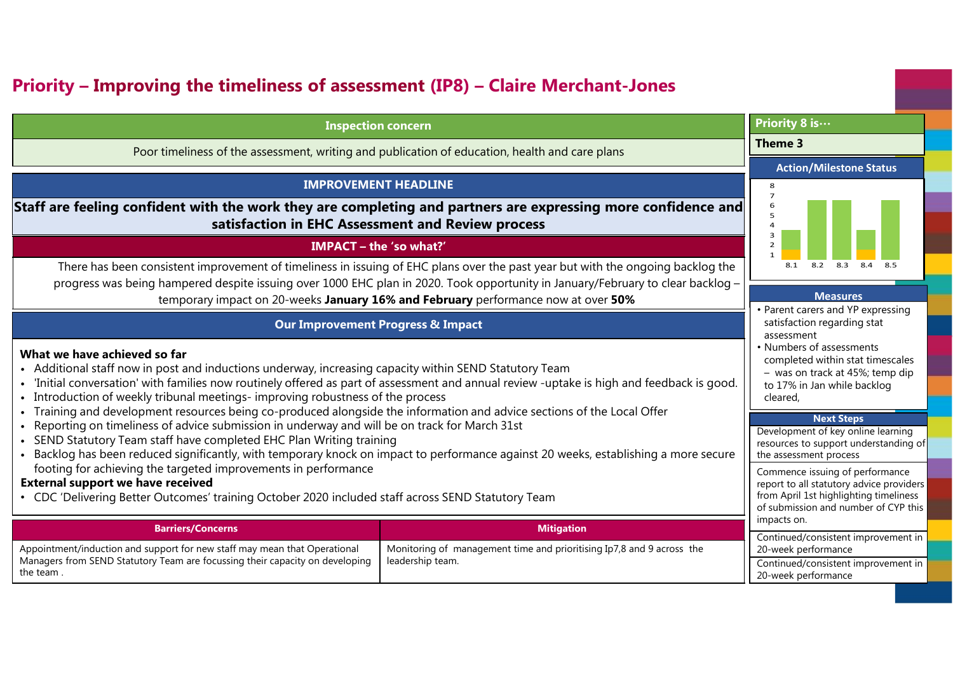## **Priority – Improving the timeliness of assessment (IP8) – Claire Merchant-Jones**

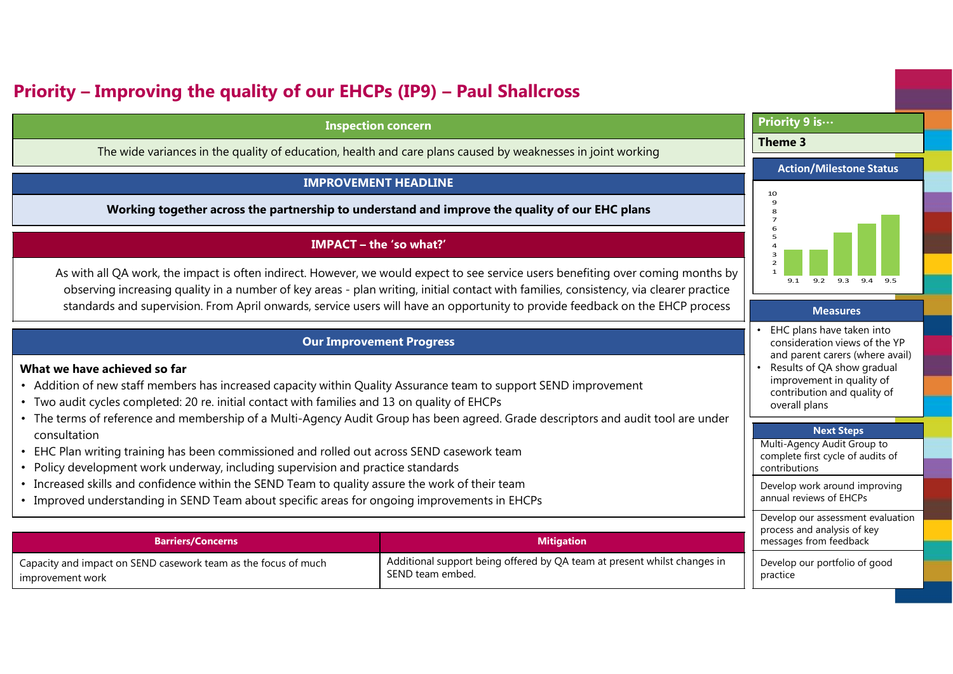### **Priority – Improving the quality of our EHCPs (IP9) – Paul Shallcross**

#### **Inspection concern**

The wide variances in the quality of education, health and care plans caused by weaknesses in joint working

#### **IMPROVEMENT HEADLINE**

**Working together across the partnership to understand and improve the quality of our EHC plans**

#### **IMPACT – the 'so what?'**

As with all QA work, the impact is often indirect. However, we would expect to see service users benefiting over coming months by observing increasing quality in a number of key areas - <sup>p</sup>lan writing, initial contact with families, consistency, via clearer practice standards and supervision. From April onwards, service users will have an opportunity to provide feedback on the EHCP process

#### **Our Improvement Progress**

#### **What we have achieved so far**

- Addition of new staff members has increased capacity within Quality Assurance team to support SEND improvement
- Two audit cycles completed: 20 re. initial contact with families and 13 on quality of EHCPs
- The terms of reference and membership of a Multi-Agency Audit Group has been agreed. Grade descriptors and audit tool are under consultation
- EHC Plan writing training has been commissioned and rolled out across SEND casework team
- Policy development work underway, including supervision and practice standards
- Increased skills and confidence within the SEND Team to quality assure the work of their team
- Improved understanding in SEND Team about specific areas for ongoing improvements in EHCPs

| <b>Barriers/Concerns</b>                                       | <b>Mitigation</b>                                                        |
|----------------------------------------------------------------|--------------------------------------------------------------------------|
| Capacity and impact on SEND casework team as the focus of much | Additional support being offered by QA team at present whilst changes in |
| improvement work                                               | SEND team embed.                                                         |

#### **Priority 9 is…**

#### **Theme 3**

#### **Action/Milestone Status**



#### **Measures**

- • EHC plans have taken into consideration views of the YP and parent carers (where avail)
- • Results of QA show gradual improvement in quality of contribution and quality of overall plans

#### **Next Steps**

 Multi-Agency Audit Group to complete first cycle of audits of contributions

Develop work around improving annual reviews of EHCPs

Develop our assessment evaluation process and analysis of key messages from feedback

Develop our portfolio of good practice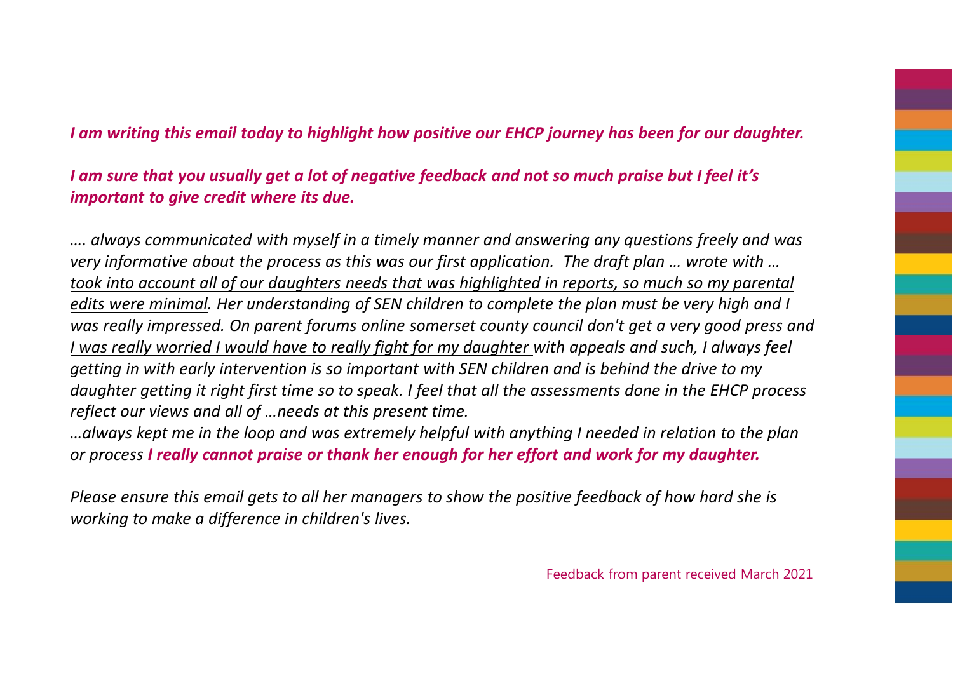#### *I am writing this email today to highlight how positive our EHCP journey has been for our daughter.*

*I am sure that you usually get a lot of negative feedback and not so much praise but I feel it's important to give credit where its due.*

*…. always communicated with myself in a timely manner and answering any questions freely and was very informative about the process as this was our first application. The draft plan … wrote with … took into account all of our daughters needs that was highlighted in reports, so much so my parental edits were minimal. Her understanding of SEN children to complete the plan must be very high and I was really impressed. On parent forums online somerset county council don't get a very good press and I was really worried I would have to really fight for my daughter with appeals and such, I always feelgetting in with early intervention is so important with SEN children and is behind the drive to my daughter getting it right first time so to speak. I feel that all the assessments done in the EHCP process reflect our views and all of …needs at this present time.*

*…always kept me in the loop and was extremely helpful with anything I needed in relation to the plan or process I really cannot praise or thank her enough for her effort and work for my daughter.*

*Please ensure this email gets to all her managers to show the positive feedback of how hard she is working to make a difference in children's lives.*

Feedback from parent received March 2021